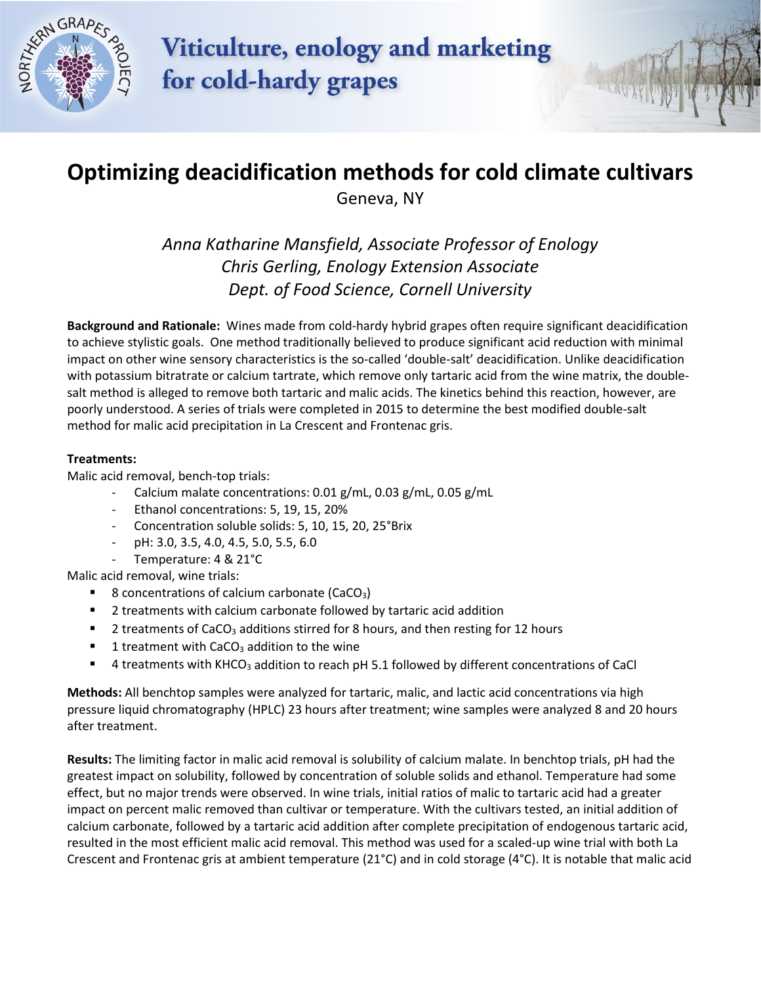

## **Viticulture, enology and marketing** for cold-hardy grapes

## **Optimizing deacidification methods for cold climate cultivars**

Geneva, NY

*Anna Katharine Mansfield, Associate Professor of Enology Chris Gerling, Enology Extension Associate Dept. of Food Science, Cornell University*

**Background and Rationale:** Wines made from cold-hardy hybrid grapes often require significant deacidification to achieve stylistic goals. One method traditionally believed to produce significant acid reduction with minimal impact on other wine sensory characteristics is the so-called 'double-salt' deacidification. Unlike deacidification with potassium bitratrate or calcium tartrate, which remove only tartaric acid from the wine matrix, the doublesalt method is alleged to remove both tartaric and malic acids. The kinetics behind this reaction, however, are poorly understood. A series of trials were completed in 2015 to determine the best modified double-salt method for malic acid precipitation in La Crescent and Frontenac gris.

## **Treatments:**

Malic acid removal, bench-top trials:

- Calcium malate concentrations: 0.01 g/mL, 0.03 g/mL, 0.05 g/mL
- Ethanol concentrations: 5, 19, 15, 20%
- Concentration soluble solids: 5, 10, 15, 20, 25°Brix
- pH: 3.0, 3.5, 4.0, 4.5, 5.0, 5.5, 6.0
- Temperature: 4 & 21°C

Malic acid removal, wine trials:

- 8 concentrations of calcium carbonate (CaCO<sub>3</sub>)
- 2 treatments with calcium carbonate followed by tartaric acid addition
- **2** treatments of CaCO<sub>3</sub> additions stirred for 8 hours, and then resting for 12 hours
- 1 treatment with  $CaCO<sub>3</sub>$  addition to the wine
- $\blacksquare$  4 treatments with KHCO<sub>3</sub> addition to reach pH 5.1 followed by different concentrations of CaCl

**Methods:** All benchtop samples were analyzed for tartaric, malic, and lactic acid concentrations via high pressure liquid chromatography (HPLC) 23 hours after treatment; wine samples were analyzed 8 and 20 hours after treatment.

**Results:** The limiting factor in malic acid removal is solubility of calcium malate. In benchtop trials, pH had the greatest impact on solubility, followed by concentration of soluble solids and ethanol. Temperature had some effect, but no major trends were observed. In wine trials, initial ratios of malic to tartaric acid had a greater impact on percent malic removed than cultivar or temperature. With the cultivars tested, an initial addition of calcium carbonate, followed by a tartaric acid addition after complete precipitation of endogenous tartaric acid, resulted in the most efficient malic acid removal. This method was used for a scaled-up wine trial with both La Crescent and Frontenac gris at ambient temperature (21°C) and in cold storage (4°C). It is notable that malic acid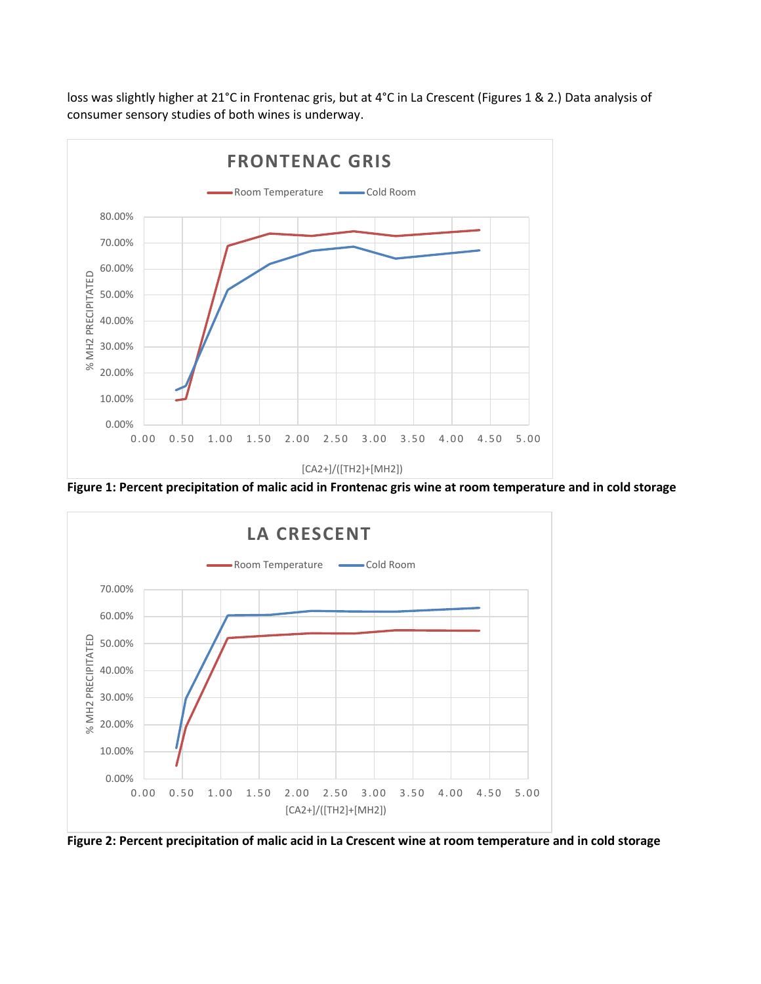loss was slightly higher at 21°C in Frontenac gris, but at 4°C in La Crescent (Figures 1 & 2.) Data analysis of consumer sensory studies of both wines is underway.



**Figure 1: Percent precipitation of malic acid in Frontenac gris wine at room temperature and in cold storage**



**Figure 2: Percent precipitation of malic acid in La Crescent wine at room temperature and in cold storage**